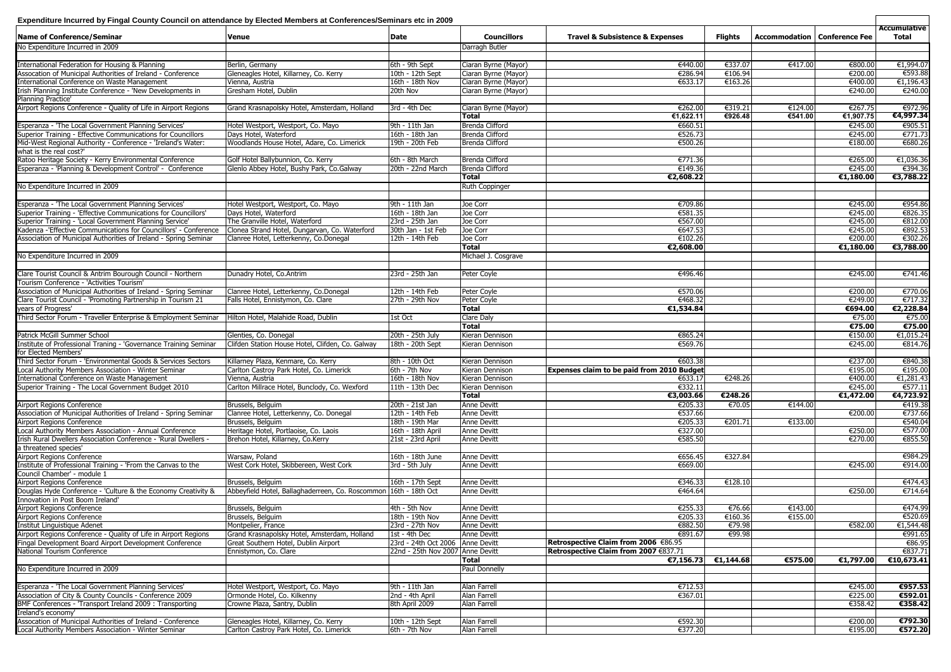| Expenditure Incurred by Fingal County Council on attendance by Elected Members at Conferences/Seminars etc in 2009 |                                                                  |                                  |                        |                                                   |                |                                       |           |                              |  |
|--------------------------------------------------------------------------------------------------------------------|------------------------------------------------------------------|----------------------------------|------------------------|---------------------------------------------------|----------------|---------------------------------------|-----------|------------------------------|--|
| Name of Conference/Seminar                                                                                         | <b>Venue</b>                                                     | Date                             | <b>Councillors</b>     | <b>Travel &amp; Subsistence &amp; Expenses</b>    | <b>Flights</b> | <b>Accommodation   Conference Fee</b> |           | Accumulative<br><b>Total</b> |  |
| No Expenditure Incurred in 2009                                                                                    |                                                                  |                                  | Darragh Butler         |                                                   |                |                                       |           |                              |  |
| International Federation for Housing & Planning                                                                    | Berlin, Germany                                                  | 6th - 9th Sept                   | Ciaran Byrne (Mayor)   | €440.00                                           | €337.07        | €417.00                               | €800.00   | €1,994.07                    |  |
| Assocation of Municipal Authorities of Ireland - Conference                                                        | Gleneagles Hotel, Killarney, Co. Kerry                           | 10th - 12th Sept                 | Ciaran Byrne (Mayor)   | €286.94                                           | €106.94        |                                       | €200.00   | €593.88                      |  |
| International Conference on Waste Management                                                                       | Vienna, Austria                                                  | 16th - 18th Nov                  | Ciaran Byrne (Mayor)   | €633.17                                           | €163.26        |                                       | €400.00   | €1,196.43                    |  |
| Irish Planning Institute Conference - 'New Developments in                                                         | Gresham Hotel, Dublin                                            | 20th Nov                         | Ciaran Byrne (Mayor)   |                                                   |                |                                       | €240.00   | €240.00                      |  |
| Planning Practice'                                                                                                 |                                                                  |                                  |                        |                                                   |                |                                       |           |                              |  |
| Airport Regions Conference - Quality of Life in Airport Regions                                                    | Grand Krasnapolsky Hotel, Amsterdam, Holland                     | 3rd - 4th Dec                    | Ciaran Byrne (Mayor)   | €262.00                                           | €319.21        | €124.00                               | €267.75   | €972.96                      |  |
|                                                                                                                    |                                                                  |                                  | <b>Total</b>           | €1,622.11                                         | €926.48        | €541.00                               | €1,907.75 | €4,997.34                    |  |
| Esperanza - 'The Local Government Planning Services'                                                               | Hotel Westport, Westport, Co. Mayo                               | 9th - 11th Jan                   | Brenda Clifford        | €660.51                                           |                |                                       | €245.00   | €905.51                      |  |
| Superior Training - Effective Communications for Councillors                                                       | Days Hotel, Waterford                                            | 16th - 18th Jan                  | <b>Brenda Clifford</b> | €526.73                                           |                |                                       | €245.00   | €771.73                      |  |
| Mid-West Regional Authority - Conference - 'Ireland's Water:                                                       | Woodlands House Hotel, Adare, Co. Limerick                       | 19th - 20th Feb                  | Brenda Clifford        | €500.26                                           |                |                                       | €180.00   | €680.26                      |  |
| what is the real cost?'                                                                                            |                                                                  |                                  |                        |                                                   |                |                                       |           |                              |  |
|                                                                                                                    |                                                                  |                                  |                        |                                                   |                |                                       |           |                              |  |
| Ratoo Heritage Society - Kerry Environmental Conference                                                            | Golf Hotel Ballybunnion, Co. Kerry                               | 6th - 8th March                  | Brenda Clifford        | €771.36                                           |                |                                       | €265.00   | €1,036.36                    |  |
| Esperanza - 'Planning & Development Control' - Conference                                                          | Glenlo Abbey Hotel, Bushy Park, Co.Galway                        | 20th - 22nd March                | <b>Brenda Clifford</b> | €149.36                                           |                |                                       | €245.00   | €394.36                      |  |
|                                                                                                                    |                                                                  |                                  | <b>Total</b>           | €2,608.22                                         |                |                                       | €1,180.00 | €3,788.22                    |  |
| No Expenditure Incurred in 2009                                                                                    |                                                                  |                                  | <b>Ruth Coppinger</b>  |                                                   |                |                                       |           |                              |  |
|                                                                                                                    |                                                                  |                                  |                        |                                                   |                |                                       |           |                              |  |
| Esperanza - 'The Local Government Planning Services'                                                               | Hotel Westport, Westport, Co. Mayo                               | 9th - 11th Jan                   | Joe Corr               | €709.86                                           |                |                                       | €245.00   | €954.86                      |  |
| Superior Training - 'Effective Communications for Councillors'                                                     | Days Hotel, Waterford                                            | 16th - 18th Jan                  | Joe Corr               | €581.35                                           |                |                                       | €245.00   | €826.35                      |  |
| Superior Training - 'Local Government Planning Service'                                                            | The Granville Hotel, Waterford                                   | 23rd - 25th Jan                  | Joe Corr               | €567.00                                           |                |                                       | €245.00   | €812.00                      |  |
| Kadenza -'Effective Communications for Councillors' - Conference                                                   | Clonea Strand Hotel, Dungarvan, Co. Waterford                    | 30th Jan - 1st Feb               | Joe Corr               | €647.53                                           |                |                                       | €245.00   | €892.53                      |  |
| Association of Municipal Authorities of Ireland - Spring Seminar                                                   | Clanree Hotel, Letterkenny, Co.Donegal                           | 12th - 14th Feb                  | Joe Corr               | €102.26                                           |                |                                       | €200.00   | €302.26                      |  |
|                                                                                                                    |                                                                  |                                  | <b>Total</b>           | €2,608.00                                         |                |                                       | €1,180.00 | €3,788.00                    |  |
| No Expenditure Incurred in 2009                                                                                    |                                                                  |                                  | Michael J. Cosgrave    |                                                   |                |                                       |           |                              |  |
|                                                                                                                    |                                                                  |                                  |                        |                                                   |                |                                       |           |                              |  |
| Clare Tourist Council & Antrim Bourough Council - Northern                                                         |                                                                  | 23rd - 25th Jan                  | Peter Coyle            | €496.46                                           |                |                                       | €245.00   | €741.46                      |  |
| Tourism Conference - 'Activities Tourism'                                                                          | Dunadry Hotel, Co.Antrim                                         |                                  |                        |                                                   |                |                                       |           |                              |  |
|                                                                                                                    |                                                                  |                                  |                        |                                                   |                |                                       |           |                              |  |
| Association of Municipal Authorities of Ireland - Spring Seminar                                                   | Clanree Hotel, Letterkenny, Co.Donegal                           | 12th - 14th Feb                  | Peter Coyle            | €570.06                                           |                |                                       | €200.00   | €770.06                      |  |
| Clare Tourist Council - 'Promoting Partnership in Tourism 21                                                       | Falls Hotel, Ennistymon, Co. Clare                               | 27th - 29th Nov                  | Peter Coyle            | €468.32                                           |                |                                       | €249.00   | €717.32                      |  |
| years of Progress'                                                                                                 |                                                                  |                                  | <b>Total</b>           | €1,534.84                                         |                |                                       | €694.00   | €2,228.84                    |  |
| Third Sector Forum - Traveller Enterprise & Employment Seminar                                                     | Hilton Hotel, Malahide Road, Dublin                              | 1st Oct                          | <b>Clare Daly</b>      |                                                   |                |                                       | €75.00    | €75.00                       |  |
|                                                                                                                    |                                                                  |                                  | <b>Total</b>           |                                                   |                |                                       | €75.00    | €75.00                       |  |
| Patrick McGill Summer School                                                                                       | Glenties, Co. Donegal                                            | 20th - 25th July                 | Kieran Dennison        | €865.24                                           |                |                                       | €150.00   | €1,015.24                    |  |
| Institute of Professional Traning - 'Governance Training Seminar                                                   | Clifden Station House Hotel, Clifden, Co. Galway                 | 18th - 20th Sept                 | Kieran Dennison        | €569.76                                           |                |                                       | €245.00   | €814.76                      |  |
| for Elected Members'                                                                                               |                                                                  |                                  |                        |                                                   |                |                                       |           |                              |  |
| Third Sector Forum - 'Environmental Goods & Services Sectors                                                       | Killarney Plaza, Kenmare, Co. Kerry                              | 8th - 10th Oct                   | Kieran Dennison        | €603.38                                           |                |                                       | €237.00   | €840.38                      |  |
| Local Authority Members Association - Winter Seminar                                                               | Carlton Castroy Park Hotel, Co. Limerick                         | 6th - 7th Nov                    | Kieran Dennison        | <b>Expenses claim to be paid from 2010 Budget</b> |                |                                       | €195.00   | €195.00                      |  |
| International Conference on Waste Management                                                                       | Vienna, Austria                                                  | 16th - 18th Nov                  | Kieran Dennison        | €633.17                                           | €248.26        |                                       | €400.00   | €1,281.43                    |  |
| Superior Training - The Local Government Budget 2010                                                               | Carlton Millrace Hotel, Bunclody, Co. Wexford                    | 11th - 13th Dec                  | Kieran Dennison        | €332.11                                           |                |                                       | €245.00   | €577.11                      |  |
|                                                                                                                    |                                                                  |                                  | <b>Total</b>           | €3,003.66                                         | €248.26        |                                       | €1,472.00 | €4,723.92                    |  |
| <b>Airport Regions Conference</b>                                                                                  | Brussels, Belguim                                                | 20th - 21st Jan                  | <b>Anne Devitt</b>     | €205.33                                           | €70.05         | €144.00                               |           | €419.38                      |  |
| Association of Municipal Authorities of Ireland - Spring Seminar                                                   | Clanree Hotel, Letterkenny, Co. Donegal                          | 12th - 14th Feb                  | <b>Anne Devitt</b>     | €537.66                                           |                |                                       | €200.00   | €737.66                      |  |
| <b>Airport Regions Conference</b>                                                                                  | Brussels, Belguim                                                | 18th - 19th Mar                  | <b>Anne Devitt</b>     | €205.33                                           | €201.71        | €133.00                               |           | €540.04                      |  |
| Local Authority Members Association - Annual Conference                                                            | Heritage Hotel, Portlaoise, Co. Laois                            | 16th - 18th April                | <b>Anne Devitt</b>     | €327.00                                           |                |                                       | €250.00   | €577.00                      |  |
| Irish Rural Dwellers Association Conference - 'Rural Dwellers -                                                    | Brehon Hotel, Killarney, Co.Kerry                                |                                  |                        | €585.50                                           |                |                                       | €270.00   | €855.50                      |  |
|                                                                                                                    |                                                                  | 21st - 23rd April                | Anne Devitt            |                                                   |                |                                       |           |                              |  |
| a threatened species'                                                                                              |                                                                  |                                  |                        |                                                   |                |                                       |           |                              |  |
| Airport Regions Conference                                                                                         | Warsaw, Poland                                                   | 16th - 18th June                 | <b>Anne Devitt</b>     | €656.45                                           | €327.84        |                                       |           | €984.29                      |  |
| Institute of Professional Training - 'From the Canvas to the                                                       | West Cork Hotel, Skibbereen, West Cork                           | 3rd - 5th July                   | Anne Devitt            | €669.00                                           |                |                                       | €245.00   | €914.00                      |  |
| Council Chamber' - module 1                                                                                        |                                                                  |                                  |                        |                                                   |                |                                       |           |                              |  |
| Airport Regions Conference                                                                                         | Brussels, Belguim                                                | 16th - 17th Sept                 | Anne Devitt            | €346.33                                           | €128.10        |                                       |           | €474.43                      |  |
| Douglas Hyde Conference - 'Culture & the Economy Creativity &                                                      | Abbeyfield Hotel, Ballaghaderreen, Co. Roscommon 16th - 18th Oct |                                  | <b>Anne Devitt</b>     | €464.64                                           |                |                                       | €250.00   | €714.64                      |  |
| Innovation in Post Boom Ireland'                                                                                   |                                                                  |                                  |                        |                                                   |                |                                       |           |                              |  |
| Airport Regions Conference                                                                                         | Brussels, Belguim                                                | 4th - 5th Nov                    | Anne Devitt            | €255.33                                           | €76.66         | €143.00                               |           | €474.99                      |  |
| <b>Airport Regions Conference</b>                                                                                  | Brussels, Belguim                                                | 18th - 19th Nov                  | <b>Anne Devitt</b>     | €205.33                                           | €160.36        | €155.00                               |           | €520.69                      |  |
| Institut Linguistique Adenet                                                                                       | Montpelier, France                                               | 23rd - 27th Nov                  | Anne Devitt            | €882.50                                           | €79.98         |                                       | €582.00   | €1,544.48                    |  |
| Airport Regions Conference - Quality of Life in Airport Regions                                                    | Grand Krasnapolsky Hotel, Amsterdam, Holland                     | 1st - 4th Dec                    | <b>Anne Devitt</b>     | €891.67                                           | €99.98         |                                       |           | €991.65                      |  |
| Fingal Development Board Airport Development Conference                                                            | Great Southern Hotel, Dublin Airport                             | 23rd - 24th Oct 2006 Anne Devitt |                        | Retrospective Claim from 2006 €86.95              |                |                                       |           | €86.95                       |  |
| National Tourism Conference                                                                                        | Ennistymon, Co. Clare                                            | 22nd - 25th Nov 2007 Anne Devitt |                        | Retrospective Claim from 2007 €837.71             |                |                                       |           | €837.71                      |  |
|                                                                                                                    |                                                                  |                                  | <b>Total</b>           | €7,156.73                                         | €1,144.68      | €575.00                               | €1,797.00 | €10,673.41                   |  |
| No Expenditure Incurred in 2009                                                                                    |                                                                  |                                  | Paul Donnelly          |                                                   |                |                                       |           |                              |  |
|                                                                                                                    |                                                                  |                                  |                        |                                                   |                |                                       |           |                              |  |
| Esperanza - 'The Local Government Planning Services'                                                               | Hotel Westport, Westport, Co. Mayo                               | 9th - 11th Jan                   | <b>Alan Farrell</b>    | €712.53                                           |                |                                       | €245.00   | €957.53                      |  |
| Association of City & County Councils - Conference 2009                                                            | Ormonde Hotel, Co. Kilkenny                                      | 2nd - 4th April                  | Alan Farrell           | €367.01                                           |                |                                       | €225.00   | €592.01                      |  |
| BMF Conferences - 'Transport Ireland 2009 : Transporting                                                           | Crowne Plaza, Santry, Dublin                                     | 8th April 2009                   | Alan Farrell           |                                                   |                |                                       | €358.42   | €358.42                      |  |
| Ireland's economy'                                                                                                 |                                                                  |                                  |                        |                                                   |                |                                       |           |                              |  |
| Assocation of Municipal Authorities of Ireland - Conference                                                        |                                                                  |                                  | <b>Alan Farrell</b>    | €592.30                                           |                |                                       | €200.00   | €792.30                      |  |
|                                                                                                                    | Gleneagles Hotel, Killarney, Co. Kerry                           | 10th - 12th Sept                 |                        |                                                   |                |                                       |           |                              |  |
| Local Authority Members Association - Winter Seminar                                                               | Carlton Castroy Park Hotel, Co. Limerick                         | 6th - 7th Nov                    | Alan Farrell           | €377.20                                           |                |                                       | €195.00   | €572.20                      |  |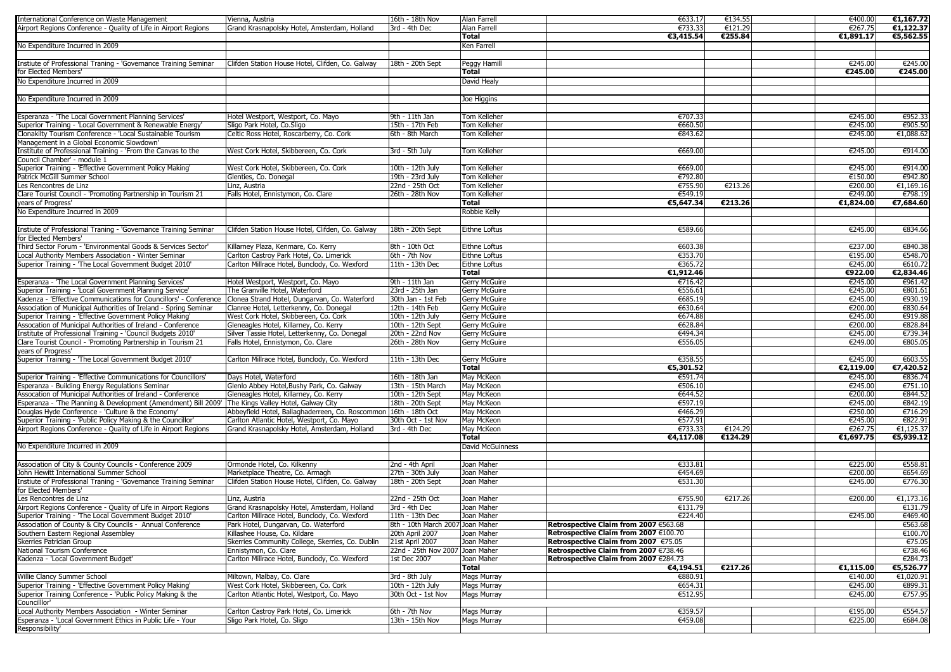| International Conference on Waste Management                                                                    | Vienna, Austria                                  | 16th - 18th Nov                  | Alan Farrell         | €633.17                               | €134.55 | €400.00   | €1,167.72 |
|-----------------------------------------------------------------------------------------------------------------|--------------------------------------------------|----------------------------------|----------------------|---------------------------------------|---------|-----------|-----------|
| Airport Regions Conference - Quality of Life in Airport Regions                                                 | Grand Krasnapolsky Hotel, Amsterdam, Holland     | 3rd - 4th Dec                    | <b>Alan Farrell</b>  | €733.33                               | €121.29 | €267.75   | €1,122.37 |
|                                                                                                                 |                                                  |                                  | <b>Total</b>         | €3,415.54                             | €255.84 | €1,891.17 | €5,562.55 |
|                                                                                                                 |                                                  |                                  |                      |                                       |         |           |           |
| No Expenditure Incurred in 2009                                                                                 |                                                  |                                  | <b>Ken Farrell</b>   |                                       |         |           |           |
|                                                                                                                 |                                                  |                                  |                      |                                       |         |           |           |
| Instiute of Professional Traning - 'Governance Training Seminar                                                 | Clifden Station House Hotel, Clifden, Co. Galway | 18th - 20th Sept                 | Peggy Hamill         |                                       |         | €245.00   | €245.00   |
| for Elected Members'                                                                                            |                                                  |                                  | <b>Total</b>         |                                       |         | €245.00   | €245.00   |
| No Expenditure Incurred in 2009                                                                                 |                                                  |                                  | David Healy          |                                       |         |           |           |
|                                                                                                                 |                                                  |                                  |                      |                                       |         |           |           |
| No Expenditure Incurred in 2009                                                                                 |                                                  |                                  | Joe Higgins          |                                       |         |           |           |
|                                                                                                                 |                                                  |                                  |                      |                                       |         |           |           |
|                                                                                                                 |                                                  |                                  |                      |                                       |         |           |           |
| Esperanza - 'The Local Government Planning Services'                                                            | Hotel Westport, Westport, Co. Mayo               | 9th - 11th Jan                   | Tom Kelleher         | €707.33                               |         | €245.00   | €952.33   |
| Superior Training - 'Local Government & Renewable Energy'                                                       | Sligo Park Hotel, Co.Sligo                       | 15th - 17th Feb                  | <b>Tom Kelleher</b>  | €660.50                               |         | €245.00   | €905.50   |
| Clonakilty Tourism Conference - 'Local Sustainable Tourism                                                      | Celtic Ross Hotel, Roscarberry, Co. Cork         | 6th - 8th March                  | <b>Tom Kelleher</b>  | €843.62                               |         | €245.00   | €1,088.62 |
| Management in a Global Economic Slowdown'                                                                       |                                                  |                                  |                      |                                       |         |           |           |
| Institute of Professional Training - 'From the Canvas to the                                                    | West Cork Hotel, Skibbereen, Co. Cork            | 3rd - 5th July                   | Tom Kelleher         | €669.00                               |         | €245.00   | €914.00   |
| Council Chamber' - module 1                                                                                     |                                                  |                                  |                      |                                       |         |           |           |
|                                                                                                                 |                                                  |                                  |                      |                                       |         |           |           |
| Superior Training - 'Effective Government Policy Making'                                                        | West Cork Hotel, Skibbereen, Co. Cork            | 10th - 12th July                 | Tom Kelleher         | €669.00                               |         | €245.00   | €914.00   |
| <b>Patrick McGill Summer School</b>                                                                             | Glenties, Co. Donegal                            | 19th - 23rd July                 | Tom Kelleher         | €792.80                               |         | €150.00   | €942.80   |
| Les Rencontres de Linz                                                                                          | Linz, Austria                                    | 22nd - 25th Oct                  | <b>Tom Kelleher</b>  | €755.90                               | €213.26 | €200.00   | €1,169.16 |
| Clare Tourist Council - 'Promoting Partnership in Tourism 21                                                    | Falls Hotel, Ennistymon, Co. Clare               | 26th - 28th Nov                  | <b>Tom Kelleher</b>  | €549.19                               |         | €249.00   | €798.19   |
| years of Progress'                                                                                              |                                                  |                                  | <b>Total</b>         | €5,647.34                             | €213.26 | €1,824.00 | €7,684.60 |
| No Expenditure Incurred in 2009                                                                                 |                                                  |                                  | <b>Robbie Kelly</b>  |                                       |         |           |           |
|                                                                                                                 |                                                  |                                  |                      |                                       |         |           |           |
|                                                                                                                 |                                                  |                                  |                      |                                       |         |           |           |
| Instiute of Professional Traning - 'Governance Training Seminar                                                 | Clifden Station House Hotel, Clifden, Co. Galway | 18th - 20th Sept                 | <b>Eithne Loftus</b> | €589.66                               |         | €245.00   | €834.66   |
| for Elected Members'                                                                                            |                                                  |                                  |                      |                                       |         |           |           |
| Third Sector Forum - 'Environmental Goods & Services Sector'                                                    | Killarney Plaza, Kenmare, Co. Kerry              | 8th - 10th Oct                   | Eithne Loftus        | €603.38                               |         | €237.00   | €840.38   |
| Local Authority Members Association - Winter Seminar                                                            | Carlton Castroy Park Hotel, Co. Limerick         | 6th - 7th Nov                    | Eithne Loftus        | €353.70                               |         | €195.00   | €548.70   |
| Superior Training - 'The Local Government Budget 2010'                                                          | Carlton Millrace Hotel, Bunclody, Co. Wexford    | 11th - 13th Dec                  | Eithne Loftus        | €365.72                               |         | €245.00   | €610.72   |
|                                                                                                                 |                                                  |                                  | <b>Total</b>         | €1,912.46                             |         | €922.00   | €2,834.46 |
|                                                                                                                 |                                                  |                                  |                      |                                       |         |           |           |
| Esperanza - 'The Local Government Planning Services'                                                            | Hotel Westport, Westport, Co. Mayo               | 9th - 11th Jan                   | <b>Gerry McGuire</b> | €716.42                               |         | €245.00   | €961.42   |
| Superior Training - 'Local Government Planning Service'                                                         | The Granville Hotel, Waterford                   | 23rd - 25th Jan                  | <b>Gerry McGuire</b> | €556.61                               |         | €245.00   | €801.61   |
| Kadenza - 'Effective Communications for Councillors' - Conference Clonea Strand Hotel, Dungarvan, Co. Waterford |                                                  | 30th Jan - 1st Feb               | <b>Gerry McGuire</b> | €685.19                               |         | €245.00   | €930.19   |
| Association of Municipal Authorities of Ireland - Spring Seminar                                                | Clanree Hotel, Letterkenny, Co. Donegal          | 12th - 14th Feb                  | <b>Gerry McGuire</b> | €630.64                               |         | €200.00   | €830.64   |
| Superior Training - 'Effective Government Policy Making'                                                        | West Cork Hotel, Skibbereen, Co. Cork            | 10th - 12th July                 | <b>Gerry McGuire</b> | €674.88                               |         | €245.00   | €919.88   |
| Assocation of Municipal Authorities of Ireland - Conference                                                     | Gleneagles Hotel, Killarney, Co. Kerry           | 10th - 12th Sept                 | <b>Gerry McGuire</b> | €628.84                               |         | €200.00   | €828.84   |
| Institute of Professional Training - 'Council Budgets 2010'                                                     | Silver Tassie Hotel, Letterkenny, Co. Donegal    | 20th - 22nd Nov                  | <b>Gerry McGuire</b> | €494.34                               |         | €245.00   | €739.34   |
|                                                                                                                 |                                                  |                                  |                      |                                       |         |           |           |
| Clare Tourist Council - 'Promoting Partnership in Tourism 21                                                    | Falls Hotel, Ennistymon, Co. Clare               | 26th - 28th Nov                  | <b>Gerry McGuire</b> | €556.05                               |         | €249.00   | €805.05   |
| years of Progress'                                                                                              |                                                  |                                  |                      |                                       |         |           |           |
| Superior Training - 'The Local Government Budget 2010'                                                          | Carlton Millrace Hotel, Bunclody, Co. Wexford    | 11th - 13th Dec                  | <b>Gerry McGuire</b> | €358.55                               |         | €245.00   | €603.55   |
|                                                                                                                 |                                                  |                                  | <b>Total</b>         | €5,301.52                             |         | €2,119.00 | €7,420.52 |
| Superior Training - 'Effective Communications for Councillors'                                                  | Days Hotel, Waterford                            | 16th - 18th Jan                  | May McKeon           | €591.74                               |         | €245.00   | €836.74   |
| Esperanza - Building Energy Regulations Seminar                                                                 | Glenlo Abbey Hotel, Bushy Park, Co. Galway       | 13th - 15th March                | May McKeon           | €506.10                               |         | €245.00   | €751.10   |
| Assocation of Municipal Authorities of Ireland - Conference                                                     | Gleneagles Hotel, Killarney, Co. Kerry           |                                  | May McKeon           | €644.52                               |         | €200.00   | €844.52   |
|                                                                                                                 |                                                  | 10th - 12th Sept                 |                      |                                       |         |           |           |
| Esperanza - 'The Planning & Development (Amendment) Bill 2009' The Kings Valley Hotel, Galway City              |                                                  | 18th - 20th Sept                 | May McKeon           | €597.19                               |         | €245.00   | €842.19   |
| Douglas Hyde Conference - 'Culture & the Economy'                                                               | Abbeyfield Hotel, Ballaghaderreen, Co. Roscommon | 16th - 18th Oct                  | May McKeon           | €466.29                               |         | €250.00   | €716.29   |
| Superior Training - 'Public Policy Making & the Councillor'                                                     | Carlton Atlantic Hotel, Westport, Co. Mayo       | 30th Oct - 1st Nov               | May McKeon           | €577.91                               |         | €245.00   | €822.91   |
| Airport Regions Conference - Quality of Life in Airport Regions                                                 | Grand Krasnapolsky Hotel, Amsterdam, Holland     | 3rd - 4th Dec                    | May McKeon           | €733.33                               | €124.29 | €267.75   | €1,125.37 |
|                                                                                                                 |                                                  |                                  | <b>Total</b>         | €4,117.08                             | €124.29 | €1,697.75 | €5,939.12 |
| No Expenditure Incurred in 2009                                                                                 |                                                  |                                  | David McGuinness     |                                       |         |           |           |
|                                                                                                                 |                                                  |                                  |                      |                                       |         |           |           |
|                                                                                                                 |                                                  |                                  |                      |                                       |         |           |           |
| Association of City & County Councils - Conference 2009                                                         | Ormonde Hotel, Co. Kilkenny                      | 2nd - 4th April                  | Joan Maher           | €333.81                               |         | €225.00   | €558.81   |
| John Hewitt International Summer School                                                                         | Marketplace Theatre, Co. Armagh                  | 27th - 30th July                 | Joan Maher           | €454.69                               |         | €200.00   | €654.69   |
| Instiute of Professional Traning - 'Governance Training Seminar                                                 | Clifden Station House Hotel, Clifden, Co. Galway | 18th - 20th Sept                 | Joan Maher           | €531.30                               |         | €245.00   | €776.30   |
| for Elected Members'                                                                                            |                                                  |                                  |                      |                                       |         |           |           |
| Les Rencontres de Linz                                                                                          | Linz, Austria                                    | 22nd - 25th Oct                  | Joan Maher           | €755.90                               | €217.26 | €200.00   | €1,173.16 |
| Airport Regions Conference - Quality of Life in Airport Regions                                                 | Grand Krasnapolsky Hotel, Amsterdam, Holland     | 3rd - 4th Dec                    | Joan Maher           | €131.79                               |         |           | €131.79   |
|                                                                                                                 |                                                  |                                  |                      |                                       |         |           |           |
| Superior Training - The Local Government Budget 2010'                                                           | Carlton Millrace Hotel, Bunclody, Co. Wexford    | $11th - 13th$ Dec                | Joan Maher           | €224.40                               |         | €245.00   | €469.40   |
| Association of County & City Councils - Annual Conference                                                       | Park Hotel, Dungarvan, Co. Waterford             | 8th - 10th March 2007 Joan Maher |                      | Retrospective Claim from 2007 €563.68 |         |           | €563.68   |
| Southern Eastern Regional Assembley                                                                             | Killashee House, Co. Kildare                     | 20th April 2007                  | Joan Maher           | Retrospective Claim from 2007 €100.70 |         |           | €100.70   |
| <b>Skerries Patrician Group</b>                                                                                 | Skerries Community College, Skerries, Co. Dublin | 21st April 2007                  | Joan Maher           | Retrospective Claim from 2007 €75.05  |         |           | €75.05    |
| National Tourism Conference                                                                                     | Ennistymon, Co. Clare                            | 22nd - 25th Nov 2007 Joan Maher  |                      | Retrospective Claim from 2007 €738.46 |         |           | €738.46   |
| Kadenza - 'Local Government Budget'                                                                             | Carlton Millrace Hotel, Bunclody, Co. Wexford    | 1st Dec 2007                     | Joan Maher           | Retrospective Claim from 2007 €284.73 |         |           | €284.73   |
|                                                                                                                 |                                                  |                                  | <b>Total</b>         | €4,194.51                             | €217.26 | €1,115.00 | €5,526.77 |
|                                                                                                                 |                                                  |                                  |                      |                                       |         |           |           |
| Willie Clancy Summer School                                                                                     | Miltown, Malbay, Co. Clare                       | 3rd - 8th July                   | <b>Mags Murray</b>   | €880.91                               |         | €140.00   | €1,020.91 |
| Superior Training - 'Effective Government Policy Making'                                                        | West Cork Hotel, Skibbereen, Co. Cork            | 10th - 12th July                 | <b>Mags Murray</b>   | €654.31                               |         | €245.00   | €899.31   |
| Superior Training Conference - 'Public Policy Making & the                                                      | Carlton Atlantic Hotel, Westport, Co. Mayo       | 30th Oct - 1st Nov               | <b>Mags Murray</b>   | €512.95                               |         | €245.00   | €757.95   |
| Councilllor'                                                                                                    |                                                  |                                  |                      |                                       |         |           |           |
| Local Authority Members Association - Winter Seminar                                                            | Carlton Castroy Park Hotel, Co. Limerick         | 6th - 7th Nov                    | <b>Mags Murray</b>   | €359.57                               |         | €195.00   | €554.57   |
| Esperanza - 'Local Government Ethics in Public Life - Your                                                      | Sligo Park Hotel, Co. Sligo                      | 13th - 15th Nov                  | <b>Mags Murray</b>   | €459.08                               |         | €225.00   | €684.08   |
| Responsibility'                                                                                                 |                                                  |                                  |                      |                                       |         |           |           |
|                                                                                                                 |                                                  |                                  |                      |                                       |         |           |           |